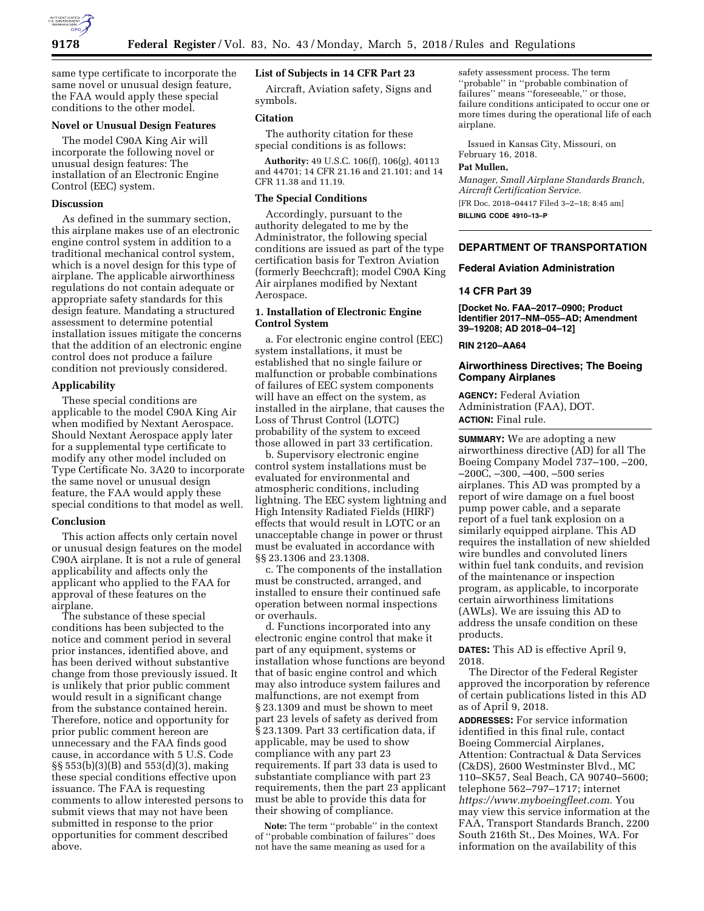

same type certificate to incorporate the same novel or unusual design feature, the FAA would apply these special conditions to the other model.

## **Novel or Unusual Design Features**

The model C90A King Air will incorporate the following novel or unusual design features: The installation of an Electronic Engine Control (EEC) system.

# **Discussion**

As defined in the summary section, this airplane makes use of an electronic engine control system in addition to a traditional mechanical control system, which is a novel design for this type of airplane. The applicable airworthiness regulations do not contain adequate or appropriate safety standards for this design feature. Mandating a structured assessment to determine potential installation issues mitigate the concerns that the addition of an electronic engine control does not produce a failure condition not previously considered.

## **Applicability**

These special conditions are applicable to the model C90A King Air when modified by Nextant Aerospace. Should Nextant Aerospace apply later for a supplemental type certificate to modify any other model included on Type Certificate No. 3A20 to incorporate the same novel or unusual design feature, the FAA would apply these special conditions to that model as well.

#### **Conclusion**

This action affects only certain novel or unusual design features on the model C90A airplane. It is not a rule of general applicability and affects only the applicant who applied to the FAA for approval of these features on the airplane.

The substance of these special conditions has been subjected to the notice and comment period in several prior instances, identified above, and has been derived without substantive change from those previously issued. It is unlikely that prior public comment would result in a significant change from the substance contained herein. Therefore, notice and opportunity for prior public comment hereon are unnecessary and the FAA finds good cause, in accordance with 5 U.S. Code §§ 553(b)(3)(B) and 553(d)(3), making these special conditions effective upon issuance. The FAA is requesting comments to allow interested persons to submit views that may not have been submitted in response to the prior opportunities for comment described above.

# **List of Subjects in 14 CFR Part 23**

Aircraft, Aviation safety, Signs and symbols.

# **Citation**

The authority citation for these special conditions is as follows:

**Authority:** 49 U.S.C. 106(f), 106(g), 40113 and 44701; 14 CFR 21.16 and 21.101; and 14 CFR 11.38 and 11.19.

#### **The Special Conditions**

Accordingly, pursuant to the authority delegated to me by the Administrator, the following special conditions are issued as part of the type certification basis for Textron Aviation (formerly Beechcraft); model C90A King Air airplanes modified by Nextant Aerospace.

# **1. Installation of Electronic Engine Control System**

a. For electronic engine control (EEC) system installations, it must be established that no single failure or malfunction or probable combinations of failures of EEC system components will have an effect on the system, as installed in the airplane, that causes the Loss of Thrust Control (LOTC) probability of the system to exceed those allowed in part 33 certification.

b. Supervisory electronic engine control system installations must be evaluated for environmental and atmospheric conditions, including lightning. The EEC system lightning and High Intensity Radiated Fields (HIRF) effects that would result in LOTC or an unacceptable change in power or thrust must be evaluated in accordance with §§ 23.1306 and 23.1308.

c. The components of the installation must be constructed, arranged, and installed to ensure their continued safe operation between normal inspections or overhauls.

d. Functions incorporated into any electronic engine control that make it part of any equipment, systems or installation whose functions are beyond that of basic engine control and which may also introduce system failures and malfunctions, are not exempt from § 23.1309 and must be shown to meet part 23 levels of safety as derived from § 23.1309. Part 33 certification data, if applicable, may be used to show compliance with any part 23 requirements. If part 33 data is used to substantiate compliance with part 23 requirements, then the part 23 applicant must be able to provide this data for their showing of compliance.

**Note:** The term ''probable'' in the context of ''probable combination of failures'' does not have the same meaning as used for a

safety assessment process. The term ''probable'' in ''probable combination of failures'' means ''foreseeable,'' or those, failure conditions anticipated to occur one or more times during the operational life of each airplane.

Issued in Kansas City, Missouri, on February 16, 2018. **Pat Mullen,** 

*Manager, Small Airplane Standards Branch, Aircraft Certification Service.*  [FR Doc. 2018–04417 Filed 3–2–18; 8:45 am] **BILLING CODE 4910–13–P** 

# **DEPARTMENT OF TRANSPORTATION**

#### **Federal Aviation Administration**

# **14 CFR Part 39**

**[Docket No. FAA–2017–0900; Product Identifier 2017–NM–055–AD; Amendment 39–19208; AD 2018–04–12]** 

## **RIN 2120–AA64**

# **Airworthiness Directives; The Boeing Company Airplanes**

**AGENCY:** Federal Aviation Administration (FAA), DOT. **ACTION:** Final rule.

**SUMMARY:** We are adopting a new airworthiness directive (AD) for all The Boeing Company Model 737–100, –200, –200C, –300, –400, –500 series airplanes. This AD was prompted by a report of wire damage on a fuel boost pump power cable, and a separate report of a fuel tank explosion on a similarly equipped airplane. This AD requires the installation of new shielded wire bundles and convoluted liners within fuel tank conduits, and revision of the maintenance or inspection program, as applicable, to incorporate certain airworthiness limitations (AWLs). We are issuing this AD to address the unsafe condition on these products.

**DATES:** This AD is effective April 9, 2018.

The Director of the Federal Register approved the incorporation by reference of certain publications listed in this AD as of April 9, 2018.

**ADDRESSES:** For service information identified in this final rule, contact Boeing Commercial Airplanes, Attention: Contractual & Data Services (C&DS), 2600 Westminster Blvd., MC 110–SK57, Seal Beach, CA 90740–5600; telephone 562–797–1717; internet *[https://www.myboeingfleet.com.](https://www.myboeingfleet.com)* You may view this service information at the FAA, Transport Standards Branch, 2200 South 216th St., Des Moines, WA. For information on the availability of this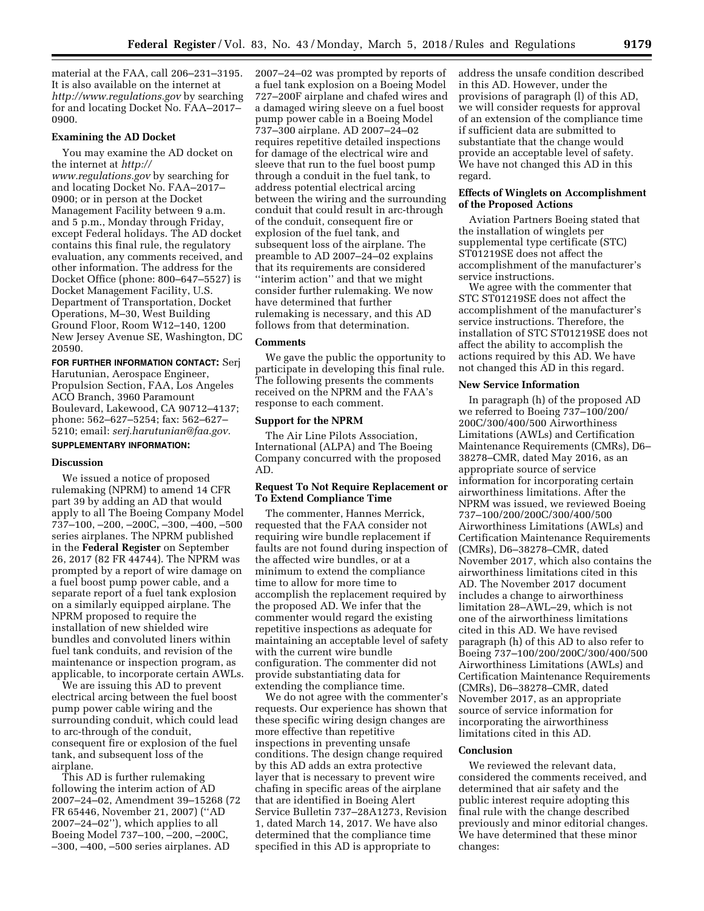material at the FAA, call 206–231–3195. It is also available on the internet at *<http://www.regulations.gov>* by searching for and locating Docket No. FAA–2017– 0900.

## **Examining the AD Docket**

You may examine the AD docket on the internet at *[http://](http://www.regulations.gov) [www.regulations.gov](http://www.regulations.gov)* by searching for and locating Docket No. FAA–2017– 0900; or in person at the Docket Management Facility between 9 a.m. and 5 p.m., Monday through Friday, except Federal holidays. The AD docket contains this final rule, the regulatory evaluation, any comments received, and other information. The address for the Docket Office (phone: 800–647–5527) is Docket Management Facility, U.S. Department of Transportation, Docket Operations, M–30, West Building Ground Floor, Room W12–140, 1200 New Jersey Avenue SE, Washington, DC 20590.

**FOR FURTHER INFORMATION CONTACT:** Serj Harutunian, Aerospace Engineer, Propulsion Section, FAA, Los Angeles ACO Branch, 3960 Paramount Boulevard, Lakewood, CA 90712–4137; phone: 562–627–5254; fax: 562–627– 5210; email: *[serj.harutunian@faa.gov.](mailto:serj.harutunian@faa.gov)* 

# **SUPPLEMENTARY INFORMATION:**

#### **Discussion**

We issued a notice of proposed rulemaking (NPRM) to amend 14 CFR part 39 by adding an AD that would apply to all The Boeing Company Model 737–100, –200, –200C, –300, –400, –500 series airplanes. The NPRM published in the **Federal Register** on September 26, 2017 (82 FR 44744). The NPRM was prompted by a report of wire damage on a fuel boost pump power cable, and a separate report of a fuel tank explosion on a similarly equipped airplane. The NPRM proposed to require the installation of new shielded wire bundles and convoluted liners within fuel tank conduits, and revision of the maintenance or inspection program, as applicable, to incorporate certain AWLs.

We are issuing this AD to prevent electrical arcing between the fuel boost pump power cable wiring and the surrounding conduit, which could lead to arc-through of the conduit, consequent fire or explosion of the fuel tank, and subsequent loss of the airplane.

This AD is further rulemaking following the interim action of AD 2007–24–02, Amendment 39–15268 (72 FR 65446, November 21, 2007) (''AD 2007–24–02''), which applies to all Boeing Model 737–100, –200, –200C, –300, –400, –500 series airplanes. AD

2007–24–02 was prompted by reports of a fuel tank explosion on a Boeing Model 727–200F airplane and chafed wires and a damaged wiring sleeve on a fuel boost pump power cable in a Boeing Model 737–300 airplane. AD 2007–24–02 requires repetitive detailed inspections for damage of the electrical wire and sleeve that run to the fuel boost pump through a conduit in the fuel tank, to address potential electrical arcing between the wiring and the surrounding conduit that could result in arc-through of the conduit, consequent fire or explosion of the fuel tank, and subsequent loss of the airplane. The preamble to AD 2007–24–02 explains that its requirements are considered ''interim action'' and that we might consider further rulemaking. We now have determined that further rulemaking is necessary, and this AD follows from that determination.

#### **Comments**

We gave the public the opportunity to participate in developing this final rule. The following presents the comments received on the NPRM and the FAA's response to each comment.

#### **Support for the NPRM**

The Air Line Pilots Association, International (ALPA) and The Boeing Company concurred with the proposed AD.

# **Request To Not Require Replacement or To Extend Compliance Time**

The commenter, Hannes Merrick, requested that the FAA consider not requiring wire bundle replacement if faults are not found during inspection of the affected wire bundles, or at a minimum to extend the compliance time to allow for more time to accomplish the replacement required by the proposed AD. We infer that the commenter would regard the existing repetitive inspections as adequate for maintaining an acceptable level of safety with the current wire bundle configuration. The commenter did not provide substantiating data for extending the compliance time.

We do not agree with the commenter's requests. Our experience has shown that these specific wiring design changes are more effective than repetitive inspections in preventing unsafe conditions. The design change required by this AD adds an extra protective layer that is necessary to prevent wire chafing in specific areas of the airplane that are identified in Boeing Alert Service Bulletin 737–28A1273, Revision 1, dated March 14, 2017. We have also determined that the compliance time specified in this AD is appropriate to

address the unsafe condition described in this AD. However, under the provisions of paragraph (l) of this AD, we will consider requests for approval of an extension of the compliance time if sufficient data are submitted to substantiate that the change would provide an acceptable level of safety. We have not changed this AD in this regard.

#### **Effects of Winglets on Accomplishment of the Proposed Actions**

Aviation Partners Boeing stated that the installation of winglets per supplemental type certificate (STC) ST01219SE does not affect the accomplishment of the manufacturer's service instructions.

We agree with the commenter that STC ST01219SE does not affect the accomplishment of the manufacturer's service instructions. Therefore, the installation of STC ST01219SE does not affect the ability to accomplish the actions required by this AD. We have not changed this AD in this regard.

## **New Service Information**

In paragraph (h) of the proposed AD we referred to Boeing 737–100/200/ 200C/300/400/500 Airworthiness Limitations (AWLs) and Certification Maintenance Requirements (CMRs), D6– 38278–CMR, dated May 2016, as an appropriate source of service information for incorporating certain airworthiness limitations. After the NPRM was issued, we reviewed Boeing 737–100/200/200C/300/400/500 Airworthiness Limitations (AWLs) and Certification Maintenance Requirements (CMRs), D6–38278–CMR, dated November 2017, which also contains the airworthiness limitations cited in this AD. The November 2017 document includes a change to airworthiness limitation 28–AWL–29, which is not one of the airworthiness limitations cited in this AD. We have revised paragraph (h) of this AD to also refer to Boeing 737–100/200/200C/300/400/500 Airworthiness Limitations (AWLs) and Certification Maintenance Requirements (CMRs), D6–38278–CMR, dated November 2017, as an appropriate source of service information for incorporating the airworthiness limitations cited in this AD.

# **Conclusion**

We reviewed the relevant data, considered the comments received, and determined that air safety and the public interest require adopting this final rule with the change described previously and minor editorial changes. We have determined that these minor changes: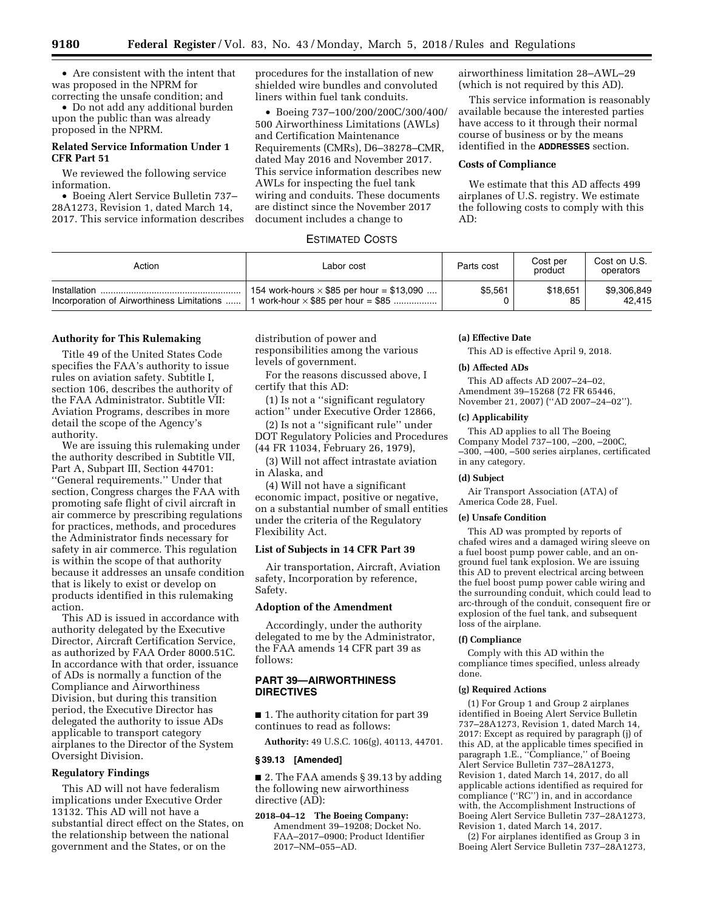• Are consistent with the intent that was proposed in the NPRM for correcting the unsafe condition; and

• Do not add any additional burden upon the public than was already proposed in the NPRM.

# **Related Service Information Under 1 CFR Part 51**

We reviewed the following service information.

• Boeing Alert Service Bulletin 737– 28A1273, Revision 1, dated March 14, 2017. This service information describes procedures for the installation of new shielded wire bundles and convoluted liners within fuel tank conduits.

• Boeing 737–100/200/200C/300/400/ 500 Airworthiness Limitations (AWLs) and Certification Maintenance Requirements (CMRs), D6–38278–CMR, dated May 2016 and November 2017. This service information describes new AWLs for inspecting the fuel tank wiring and conduits. These documents are distinct since the November 2017 document includes a change to

airworthiness limitation 28–AWL–29 (which is not required by this AD).

This service information is reasonably available because the interested parties have access to it through their normal course of business or by the means identified in the **ADDRESSES** section.

## **Costs of Compliance**

We estimate that this AD affects 499 airplanes of U.S. registry. We estimate the following costs to comply with this AD:

# ESTIMATED COSTS

| Action                                     | Labor cost                                       | Parts cost | Cost per<br>product | Cost on U.S.<br>operators |
|--------------------------------------------|--------------------------------------------------|------------|---------------------|---------------------------|
| Installation                               | 154 work-hours $\times$ \$85 per hour = \$13,090 | \$5,561    | \$18.651            | \$9,306,849               |
| Incorporation of Airworthiness Limitations | work-hour $\times$ \$85 per hour = \$85          |            | 85                  | 42.415                    |

# **Authority for This Rulemaking**

Title 49 of the United States Code specifies the FAA's authority to issue rules on aviation safety. Subtitle I, section 106, describes the authority of the FAA Administrator. Subtitle VII: Aviation Programs, describes in more detail the scope of the Agency's authority.

We are issuing this rulemaking under the authority described in Subtitle VII, Part A, Subpart III, Section 44701: ''General requirements.'' Under that section, Congress charges the FAA with promoting safe flight of civil aircraft in air commerce by prescribing regulations for practices, methods, and procedures the Administrator finds necessary for safety in air commerce. This regulation is within the scope of that authority because it addresses an unsafe condition that is likely to exist or develop on products identified in this rulemaking action.

This AD is issued in accordance with authority delegated by the Executive Director, Aircraft Certification Service, as authorized by FAA Order 8000.51C. In accordance with that order, issuance of ADs is normally a function of the Compliance and Airworthiness Division, but during this transition period, the Executive Director has delegated the authority to issue ADs applicable to transport category airplanes to the Director of the System Oversight Division.

## **Regulatory Findings**

This AD will not have federalism implications under Executive Order 13132. This AD will not have a substantial direct effect on the States, on the relationship between the national government and the States, or on the

distribution of power and responsibilities among the various levels of government.

For the reasons discussed above, I certify that this AD:

(1) Is not a ''significant regulatory action'' under Executive Order 12866,

(2) Is not a ''significant rule'' under DOT Regulatory Policies and Procedures (44 FR 11034, February 26, 1979),

(3) Will not affect intrastate aviation in Alaska, and

(4) Will not have a significant economic impact, positive or negative, on a substantial number of small entities under the criteria of the Regulatory Flexibility Act.

# **List of Subjects in 14 CFR Part 39**

Air transportation, Aircraft, Aviation safety, Incorporation by reference, Safety.

## **Adoption of the Amendment**

Accordingly, under the authority delegated to me by the Administrator, the FAA amends 14 CFR part 39 as follows:

# **PART 39—AIRWORTHINESS DIRECTIVES**

■ 1. The authority citation for part 39 continues to read as follows:

**Authority:** 49 U.S.C. 106(g), 40113, 44701.

#### **§ 39.13 [Amended]**

■ 2. The FAA amends § 39.13 by adding the following new airworthiness directive (AD):

**2018–04–12 The Boeing Company:**  Amendment 39–19208; Docket No. FAA–2017–0900; Product Identifier 2017–NM–055–AD.

#### **(a) Effective Date**

This AD is effective April 9, 2018.

# **(b) Affected ADs**

This AD affects AD 2007–24–02, Amendment 39–15268 (72 FR 65446, November 21, 2007) (''AD 2007–24–02'').

## **(c) Applicability**

This AD applies to all The Boeing Company Model 737–100, –200, –200C, –300, –400, –500 series airplanes, certificated in any category.

#### **(d) Subject**

Air Transport Association (ATA) of America Code 28, Fuel.

#### **(e) Unsafe Condition**

This AD was prompted by reports of chafed wires and a damaged wiring sleeve on a fuel boost pump power cable, and an onground fuel tank explosion. We are issuing this AD to prevent electrical arcing between the fuel boost pump power cable wiring and the surrounding conduit, which could lead to arc-through of the conduit, consequent fire or explosion of the fuel tank, and subsequent loss of the airplane.

#### **(f) Compliance**

Comply with this AD within the compliance times specified, unless already done.

# **(g) Required Actions**

(1) For Group 1 and Group 2 airplanes identified in Boeing Alert Service Bulletin 737–28A1273, Revision 1, dated March 14, 2017: Except as required by paragraph (j) of this AD, at the applicable times specified in paragraph 1.E., ''Compliance,'' of Boeing Alert Service Bulletin 737–28A1273, Revision 1, dated March 14, 2017, do all applicable actions identified as required for compliance (''RC'') in, and in accordance with, the Accomplishment Instructions of Boeing Alert Service Bulletin 737–28A1273, Revision 1, dated March 14, 2017.

(2) For airplanes identified as Group 3 in Boeing Alert Service Bulletin 737–28A1273,